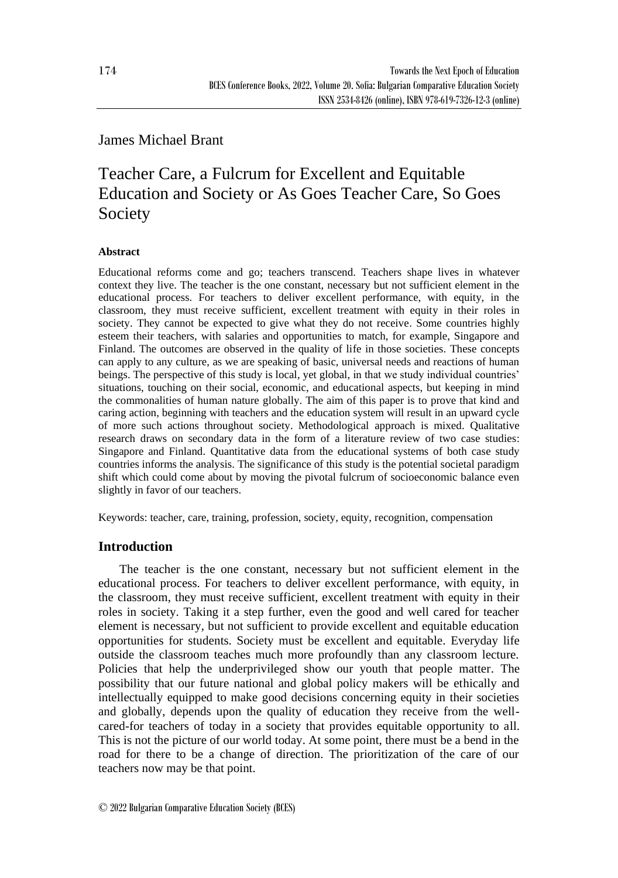# James Michael Brant

# Teacher Care, a Fulcrum for Excellent and Equitable Education and Society or As Goes Teacher Care, So Goes Society

## **Abstract**

Educational reforms come and go; teachers transcend. Teachers shape lives in whatever context they live. The teacher is the one constant, necessary but not sufficient element in the educational process. For teachers to deliver excellent performance, with equity, in the classroom, they must receive sufficient, excellent treatment with equity in their roles in society. They cannot be expected to give what they do not receive. Some countries highly esteem their teachers, with salaries and opportunities to match, for example, Singapore and Finland. The outcomes are observed in the quality of life in those societies. These concepts can apply to any culture, as we are speaking of basic, universal needs and reactions of human beings. The perspective of this study is local, yet global, in that we study individual countries' situations, touching on their social, economic, and educational aspects, but keeping in mind the commonalities of human nature globally. The aim of this paper is to prove that kind and caring action, beginning with teachers and the education system will result in an upward cycle of more such actions throughout society. Methodological approach is mixed. Qualitative research draws on secondary data in the form of a literature review of two case studies: Singapore and Finland. Quantitative data from the educational systems of both case study countries informs the analysis. The significance of this study is the potential societal paradigm shift which could come about by moving the pivotal fulcrum of socioeconomic balance even slightly in favor of our teachers.

Keywords: teacher, care, training, profession, society, equity, recognition, compensation

# **Introduction**

The teacher is the one constant, necessary but not sufficient element in the educational process. For teachers to deliver excellent performance, with equity, in the classroom, they must receive sufficient, excellent treatment with equity in their roles in society. Taking it a step further, even the good and well cared for teacher element is necessary, but not sufficient to provide excellent and equitable education opportunities for students. Society must be excellent and equitable. Everyday life outside the classroom teaches much more profoundly than any classroom lecture. Policies that help the underprivileged show our youth that people matter. The possibility that our future national and global policy makers will be ethically and intellectually equipped to make good decisions concerning equity in their societies and globally, depends upon the quality of education they receive from the wellcared-for teachers of today in a society that provides equitable opportunity to all. This is not the picture of our world today. At some point, there must be a bend in the road for there to be a change of direction. The prioritization of the care of our teachers now may be that point.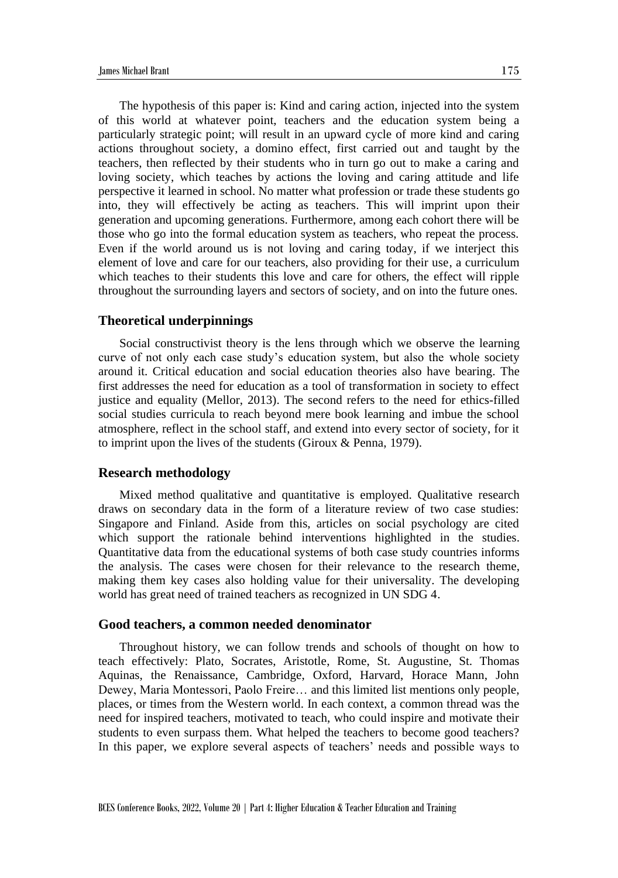The hypothesis of this paper is: Kind and caring action, injected into the system of this world at whatever point, teachers and the education system being a particularly strategic point; will result in an upward cycle of more kind and caring actions throughout society, a domino effect, first carried out and taught by the teachers, then reflected by their students who in turn go out to make a caring and loving society, which teaches by actions the loving and caring attitude and life perspective it learned in school. No matter what profession or trade these students go into, they will effectively be acting as teachers. This will imprint upon their generation and upcoming generations. Furthermore, among each cohort there will be those who go into the formal education system as teachers, who repeat the process. Even if the world around us is not loving and caring today, if we interject this element of love and care for our teachers, also providing for their use, a curriculum which teaches to their students this love and care for others, the effect will ripple throughout the surrounding layers and sectors of society, and on into the future ones.

#### **Theoretical underpinnings**

Social constructivist theory is the lens through which we observe the learning curve of not only each case study's education system, but also the whole society around it. Critical education and social education theories also have bearing. The first addresses the need for education as a tool of transformation in society to effect justice and equality (Mellor, 2013). The second refers to the need for ethics-filled social studies curricula to reach beyond mere book learning and imbue the school atmosphere, reflect in the school staff, and extend into every sector of society, for it to imprint upon the lives of the students (Giroux & Penna, 1979).

#### **Research methodology**

Mixed method qualitative and quantitative is employed. Qualitative research draws on secondary data in the form of a literature review of two case studies: Singapore and Finland. Aside from this, articles on social psychology are cited which support the rationale behind interventions highlighted in the studies. Quantitative data from the educational systems of both case study countries informs the analysis. The cases were chosen for their relevance to the research theme, making them key cases also holding value for their universality. The developing world has great need of trained teachers as recognized in UN SDG 4.

#### **Good teachers, a common needed denominator**

Throughout history, we can follow trends and schools of thought on how to teach effectively: Plato, Socrates, Aristotle, Rome, St. Augustine, St. Thomas Aquinas, the Renaissance, Cambridge, Oxford, Harvard, Horace Mann, John Dewey, Maria Montessori, Paolo Freire… and this limited list mentions only people, places, or times from the Western world. In each context, a common thread was the need for inspired teachers, motivated to teach, who could inspire and motivate their students to even surpass them. What helped the teachers to become good teachers? In this paper, we explore several aspects of teachers' needs and possible ways to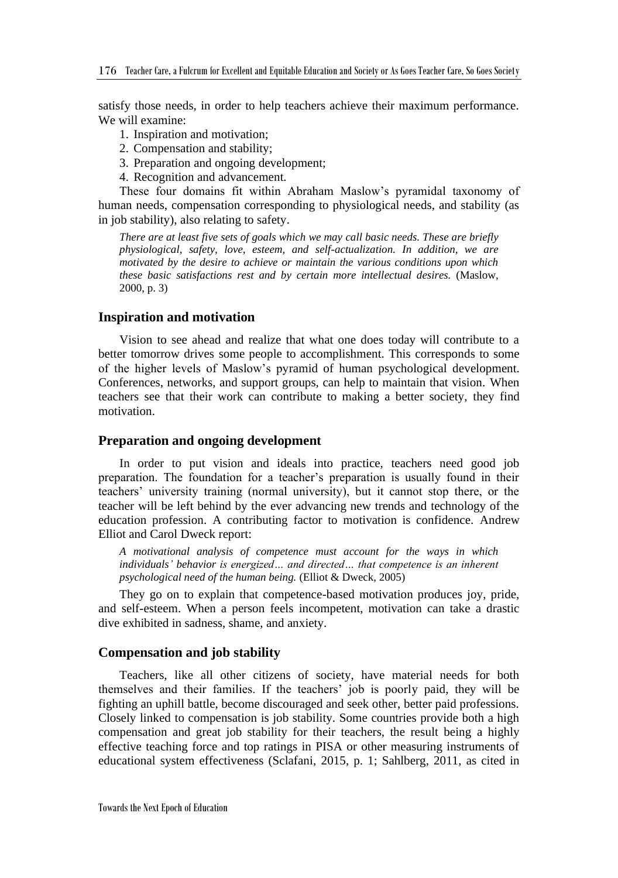satisfy those needs, in order to help teachers achieve their maximum performance. We will examine:

- 1. Inspiration and motivation;
- 2. Compensation and stability;
- 3. Preparation and ongoing development;
- 4. Recognition and advancement.

These four domains fit within Abraham Maslow's pyramidal taxonomy of human needs, compensation corresponding to physiological needs, and stability (as in job stability), also relating to safety.

*There are at least five sets of goals which we may call basic needs. These are briefly physiological, safety, love, esteem, and self-actualization. In addition, we are motivated by the desire to achieve or maintain the various conditions upon which these basic satisfactions rest and by certain more intellectual desires.* (Maslow, 2000, p. 3)

## **Inspiration and motivation**

Vision to see ahead and realize that what one does today will contribute to a better tomorrow drives some people to accomplishment. This corresponds to some of the higher levels of Maslow's pyramid of human psychological development. Conferences, networks, and support groups, can help to maintain that vision. When teachers see that their work can contribute to making a better society, they find motivation.

## **Preparation and ongoing development**

In order to put vision and ideals into practice, teachers need good job preparation. The foundation for a teacher's preparation is usually found in their teachers' university training (normal university), but it cannot stop there, or the teacher will be left behind by the ever advancing new trends and technology of the education profession. A contributing factor to motivation is confidence. Andrew Elliot and Carol Dweck report:

*A motivational analysis of competence must account for the ways in which individuals' behavior is energized… and directed… that competence is an inherent psychological need of the human being.* (Elliot & Dweck, 2005)

They go on to explain that competence-based motivation produces joy, pride, and self-esteem. When a person feels incompetent, motivation can take a drastic dive exhibited in sadness, shame, and anxiety.

#### **Compensation and job stability**

Teachers, like all other citizens of society, have material needs for both themselves and their families. If the teachers' job is poorly paid, they will be fighting an uphill battle, become discouraged and seek other, better paid professions. Closely linked to compensation is job stability. Some countries provide both a high compensation and great job stability for their teachers, the result being a highly effective teaching force and top ratings in PISA or other measuring instruments of educational system effectiveness (Sclafani, 2015, p. 1; Sahlberg, 2011, as cited in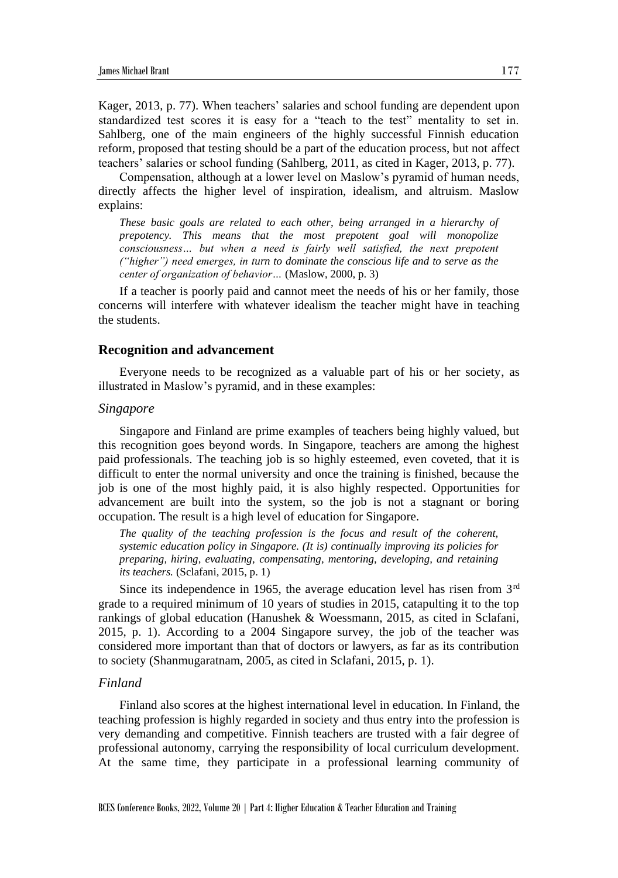Kager, 2013, p. 77). When teachers' salaries and school funding are dependent upon standardized test scores it is easy for a "teach to the test" mentality to set in. Sahlberg, one of the main engineers of the highly successful Finnish education reform, proposed that testing should be a part of the education process, but not affect teachers' salaries or school funding (Sahlberg, 2011, as cited in Kager, 2013, p. 77).

Compensation, although at a lower level on Maslow's pyramid of human needs, directly affects the higher level of inspiration, idealism, and altruism. Maslow explains:

*These basic goals are related to each other, being arranged in a hierarchy of prepotency. This means that the most prepotent goal will monopolize consciousness… but when a need is fairly well satisfied, the next prepotent ("higher") need emerges, in turn to dominate the conscious life and to serve as the center of organization of behavior…* (Maslow, 2000, p. 3)

If a teacher is poorly paid and cannot meet the needs of his or her family, those concerns will interfere with whatever idealism the teacher might have in teaching the students.

#### **Recognition and advancement**

Everyone needs to be recognized as a valuable part of his or her society, as illustrated in Maslow's pyramid, and in these examples:

#### *Singapore*

Singapore and Finland are prime examples of teachers being highly valued, but this recognition goes beyond words. In Singapore, teachers are among the highest paid professionals. The teaching job is so highly esteemed, even coveted, that it is difficult to enter the normal university and once the training is finished, because the job is one of the most highly paid, it is also highly respected. Opportunities for advancement are built into the system, so the job is not a stagnant or boring occupation. The result is a high level of education for Singapore.

*The quality of the teaching profession is the focus and result of the coherent, systemic education policy in Singapore. (It is) continually improving its policies for preparing, hiring, evaluating, compensating, mentoring, developing, and retaining its teachers.* (Sclafani, 2015, p. 1)

Since its independence in 1965, the average education level has risen from 3<sup>rd</sup> grade to a required minimum of 10 years of studies in 2015, catapulting it to the top rankings of global education (Hanushek & Woessmann, 2015, as cited in Sclafani, 2015, p. 1). According to a 2004 Singapore survey, the job of the teacher was considered more important than that of doctors or lawyers, as far as its contribution to society (Shanmugaratnam, 2005, as cited in Sclafani, 2015, p. 1).

# *Finland*

Finland also scores at the highest international level in education. In Finland, the teaching profession is highly regarded in society and thus entry into the profession is very demanding and competitive. Finnish teachers are trusted with a fair degree of professional autonomy, carrying the responsibility of local curriculum development. At the same time, they participate in a professional learning community of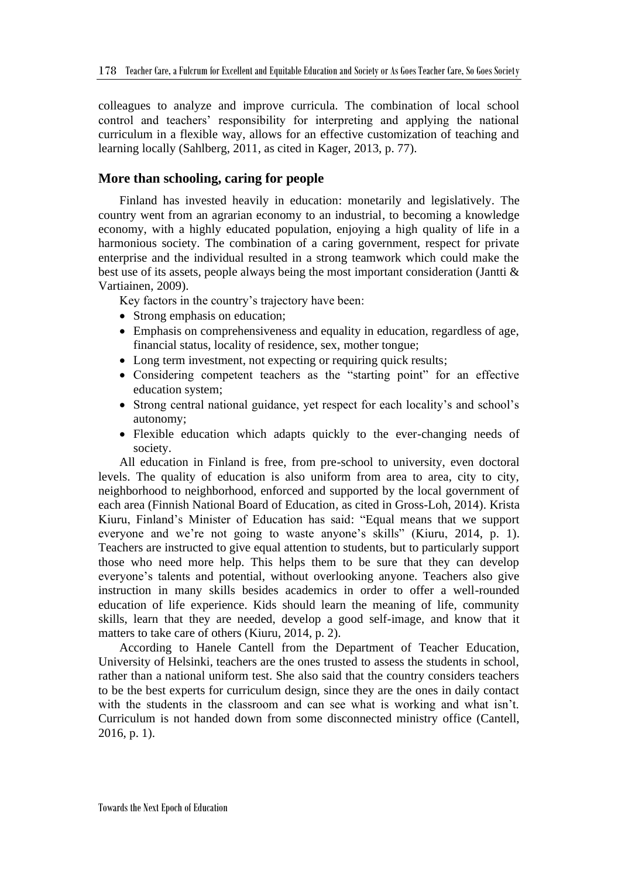colleagues to analyze and improve curricula. The combination of local school control and teachers' responsibility for interpreting and applying the national curriculum in a flexible way, allows for an effective customization of teaching and learning locally (Sahlberg, 2011, as cited in Kager, 2013, p. 77).

# **More than schooling, caring for people**

Finland has invested heavily in education: monetarily and legislatively. The country went from an agrarian economy to an industrial, to becoming a knowledge economy, with a highly educated population, enjoying a high quality of life in a harmonious society. The combination of a caring government, respect for private enterprise and the individual resulted in a strong teamwork which could make the best use of its assets, people always being the most important consideration (Jantti & Vartiainen, 2009).

Key factors in the country's trajectory have been:

- Strong emphasis on education;
- Emphasis on comprehensiveness and equality in education, regardless of age, financial status, locality of residence, sex, mother tongue;
- Long term investment, not expecting or requiring quick results;
- Considering competent teachers as the "starting point" for an effective education system;
- Strong central national guidance, yet respect for each locality's and school's autonomy;
- Flexible education which adapts quickly to the ever-changing needs of society.

All education in Finland is free, from pre-school to university, even doctoral levels. The quality of education is also uniform from area to area, city to city, neighborhood to neighborhood, enforced and supported by the local government of each area (Finnish National Board of Education, as cited in Gross-Loh, 2014). Krista Kiuru, Finland's Minister of Education has said: "Equal means that we support everyone and we're not going to waste anyone's skills" (Kiuru, 2014, p. 1). Teachers are instructed to give equal attention to students, but to particularly support those who need more help. This helps them to be sure that they can develop everyone's talents and potential, without overlooking anyone. Teachers also give instruction in many skills besides academics in order to offer a well-rounded education of life experience. Kids should learn the meaning of life, community skills, learn that they are needed, develop a good self-image, and know that it matters to take care of others (Kiuru, 2014, p. 2).

According to Hanele Cantell from the Department of Teacher Education, University of Helsinki, teachers are the ones trusted to assess the students in school, rather than a national uniform test. She also said that the country considers teachers to be the best experts for curriculum design, since they are the ones in daily contact with the students in the classroom and can see what is working and what isn't. Curriculum is not handed down from some disconnected ministry office (Cantell, 2016, p. 1).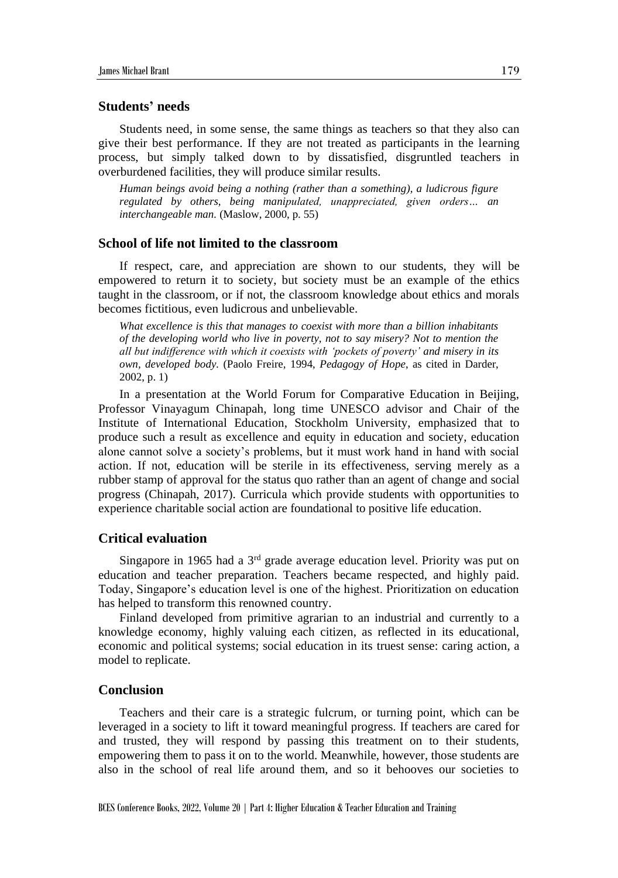# **Students' needs**

Students need, in some sense, the same things as teachers so that they also can give their best performance. If they are not treated as participants in the learning process, but simply talked down to by dissatisfied, disgruntled teachers in overburdened facilities, they will produce similar results.

*Human beings avoid being a nothing (rather than a something), a ludicrous figure regulated by others, being manipulated, unappreciated, given orders… an interchangeable man.* (Maslow, 2000, p. 55)

# **School of life not limited to the classroom**

If respect, care, and appreciation are shown to our students, they will be empowered to return it to society, but society must be an example of the ethics taught in the classroom, or if not, the classroom knowledge about ethics and morals becomes fictitious, even ludicrous and unbelievable.

*What excellence is this that manages to coexist with more than a billion inhabitants of the developing world who live in poverty, not to say misery? Not to mention the all but indifference with which it coexists with 'pockets of poverty' and misery in its own, developed body.* (Paolo Freire, 1994, *Pedagogy of Hope*, as cited in Darder, 2002, p. 1)

In a presentation at the World Forum for Comparative Education in Beijing, Professor Vinayagum Chinapah, long time UNESCO advisor and Chair of the Institute of International Education, Stockholm University, emphasized that to produce such a result as excellence and equity in education and society, education alone cannot solve a society's problems, but it must work hand in hand with social action. If not, education will be sterile in its effectiveness, serving merely as a rubber stamp of approval for the status quo rather than an agent of change and social progress (Chinapah, 2017). Curricula which provide students with opportunities to experience charitable social action are foundational to positive life education.

# **Critical evaluation**

Singapore in 1965 had a  $3<sup>rd</sup>$  grade average education level. Priority was put on education and teacher preparation. Teachers became respected, and highly paid. Today, Singapore's education level is one of the highest. Prioritization on education has helped to transform this renowned country.

Finland developed from primitive agrarian to an industrial and currently to a knowledge economy, highly valuing each citizen, as reflected in its educational, economic and political systems; social education in its truest sense: caring action, a model to replicate.

# **Conclusion**

Teachers and their care is a strategic fulcrum, or turning point, which can be leveraged in a society to lift it toward meaningful progress. If teachers are cared for and trusted, they will respond by passing this treatment on to their students, empowering them to pass it on to the world. Meanwhile, however, those students are also in the school of real life around them, and so it behooves our societies to